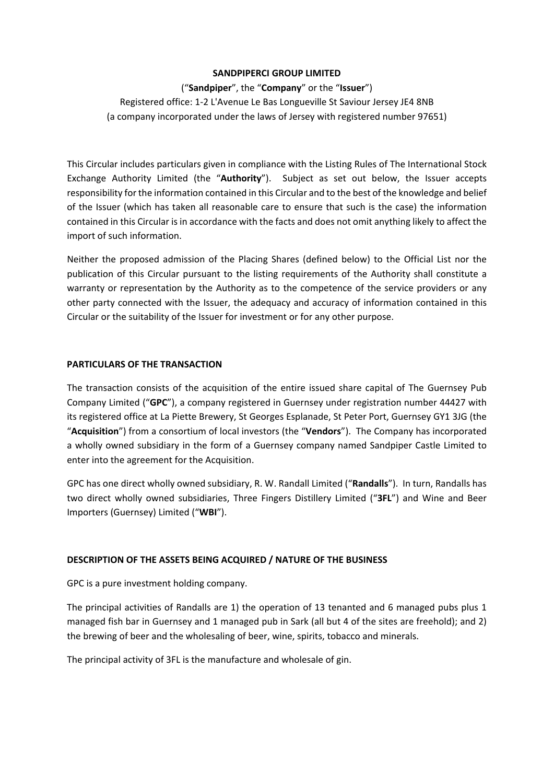#### **SANDPIPERCI GROUP LIMITED**

# ("**Sandpiper**", the "**Company**" or the "**Issuer**")

Registered office: 1‐2 L'Avenue Le Bas Longueville St Saviour Jersey JE4 8NB (a company incorporated under the laws of Jersey with registered number 97651)

This Circular includes particulars given in compliance with the Listing Rules of The International Stock Exchange Authority Limited (the "**Authority**"). Subject as set out below, the Issuer accepts responsibility for the information contained in this Circular and to the best of the knowledge and belief of the Issuer (which has taken all reasonable care to ensure that such is the case) the information contained in this Circular is in accordance with the facts and does not omit anything likely to affect the import of such information.

Neither the proposed admission of the Placing Shares (defined below) to the Official List nor the publication of this Circular pursuant to the listing requirements of the Authority shall constitute a warranty or representation by the Authority as to the competence of the service providers or any other party connected with the Issuer, the adequacy and accuracy of information contained in this Circular or the suitability of the Issuer for investment or for any other purpose.

# **PARTICULARS OF THE TRANSACTION**

The transaction consists of the acquisition of the entire issued share capital of The Guernsey Pub Company Limited ("**GPC**"), a company registered in Guernsey under registration number 44427 with its registered office at La Piette Brewery, St Georges Esplanade, St Peter Port, Guernsey GY1 3JG (the "**Acquisition**") from a consortium of local investors (the "**Vendors**"). The Company has incorporated a wholly owned subsidiary in the form of a Guernsey company named Sandpiper Castle Limited to enter into the agreement for the Acquisition.

GPC has one direct wholly owned subsidiary, R. W. Randall Limited ("**Randalls**"). In turn, Randalls has two direct wholly owned subsidiaries, Three Fingers Distillery Limited ("**3FL**") and Wine and Beer Importers (Guernsey) Limited ("**WBI**").

# **DESCRIPTION OF THE ASSETS BEING ACQUIRED / NATURE OF THE BUSINESS**

GPC is a pure investment holding company.

The principal activities of Randalls are 1) the operation of 13 tenanted and 6 managed pubs plus 1 managed fish bar in Guernsey and 1 managed pub in Sark (all but 4 of the sites are freehold); and 2) the brewing of beer and the wholesaling of beer, wine, spirits, tobacco and minerals.

The principal activity of 3FL is the manufacture and wholesale of gin.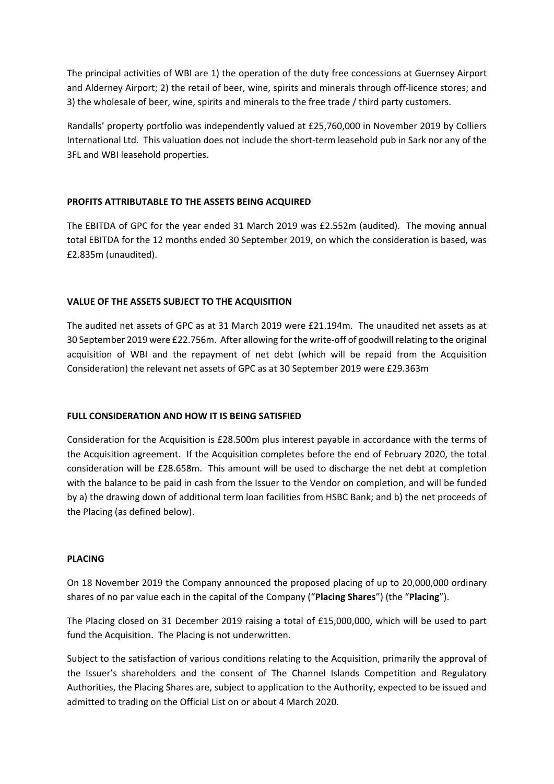The principal activities of WBI are 1) the operation of the duty free concessions at Guernsey Airport and Alderney Airport; 2) the retail of beer, wine, spirits and minerals through off‐licence stores; and 3) the wholesale of beer, wine, spirits and minerals to the free trade / third party customers.

Randalls' property portfolio was independently valued at £25,760,000 in November 2019 by Colliers International Ltd. This valuation does not include the short‐term leasehold pub in Sark nor any of the 3FL and WBI leasehold properties.

# **PROFITS ATTRIBUTABLE TO THE ASSETS BEING ACQUIRED**

The EBITDA of GPC for the year ended 31 March 2019 was £2.552m (audited). The moving annual total EBITDA for the 12 months ended 30 September 2019, on which the consideration is based, was £2.835m (unaudited).

# **VALUE OF THE ASSETS SUBJECT TO THE ACQUISITION**

The audited net assets of GPC as at 31 March 2019 were £21.194m. The unaudited net assets as at 30 September 2019 were £22.756m. After allowing for the write‐off of goodwill relating to the original acquisition of WBI and the repayment of net debt (which will be repaid from the Acquisition Consideration) the relevant net assets of GPC as at 30 September 2019 were £29.363m

#### **FULL CONSIDERATION AND HOW IT IS BEING SATISFIED**

Consideration for the Acquisition is £28.500m plus interest payable in accordance with the terms of the Acquisition agreement. If the Acquisition completes before the end of February 2020, the total consideration will be £28.658m. This amount will be used to discharge the net debt at completion with the balance to be paid in cash from the Issuer to the Vendor on completion, and will be funded by a) the drawing down of additional term loan facilities from HSBC Bank; and b) the net proceeds of the Placing (as defined below).

#### **PLACING**

On 18 November 2019 the Company announced the proposed placing of up to 20,000,000 ordinary shares of no par value each in the capital of the Company ("**Placing Shares**") (the "**Placing**").

The Placing closed on 31 December 2019 raising a total of £15,000,000, which will be used to part fund the Acquisition. The Placing is not underwritten.

Subject to the satisfaction of various conditions relating to the Acquisition, primarily the approval of the Issuer's shareholders and the consent of The Channel Islands Competition and Regulatory Authorities, the Placing Shares are, subject to application to the Authority, expected to be issued and admitted to trading on the Official List on or about 4 March 2020.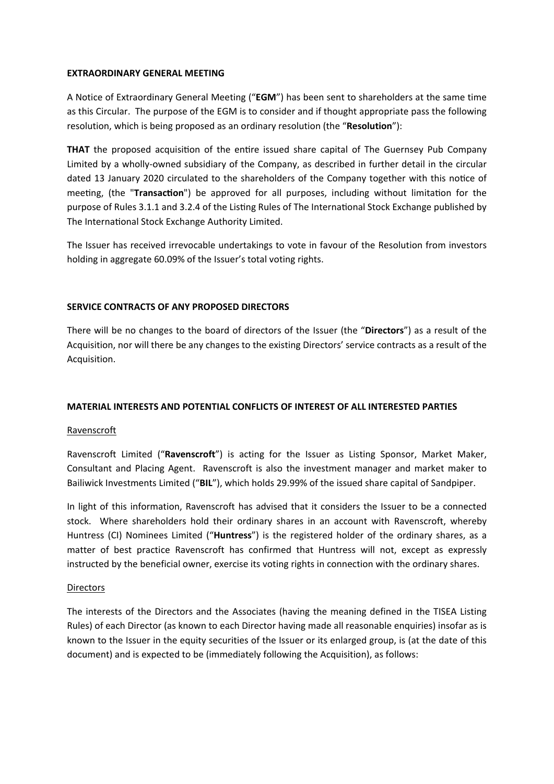#### **EXTRAORDINARY GENERAL MEETING**

A Notice of Extraordinary General Meeting ("**EGM**") has been sent to shareholders at the same time as this Circular. The purpose of the EGM is to consider and if thought appropriate pass the following resolution, which is being proposed as an ordinary resolution (the "**Resolution**"):

**THAT** the proposed acquisition of the entire issued share capital of The Guernsey Pub Company Limited by a wholly‐owned subsidiary of the Company, as described in further detail in the circular dated 13 January 2020 circulated to the shareholders of the Company together with this notice of meeting, (the "**Transaction**") be approved for all purposes, including without limitation for the purpose of Rules 3.1.1 and 3.2.4 of the Listing Rules of The International Stock Exchange published by The International Stock Exchange Authority Limited.

The Issuer has received irrevocable undertakings to vote in favour of the Resolution from investors holding in aggregate 60.09% of the Issuer's total voting rights.

# **SERVICE CONTRACTS OF ANY PROPOSED DIRECTORS**

There will be no changes to the board of directors of the Issuer (the "**Directors**") as a result of the Acquisition, nor will there be any changes to the existing Directors' service contracts as a result of the Acquisition.

#### **MATERIAL INTERESTS AND POTENTIAL CONFLICTS OF INTEREST OF ALL INTERESTED PARTIES**

#### Ravenscroft

Ravenscroft Limited ("**Ravenscroft**") is acting for the Issuer as Listing Sponsor, Market Maker, Consultant and Placing Agent. Ravenscroft is also the investment manager and market maker to Bailiwick Investments Limited ("**BIL**"), which holds 29.99% of the issued share capital of Sandpiper.

In light of this information, Ravenscroft has advised that it considers the Issuer to be a connected stock. Where shareholders hold their ordinary shares in an account with Ravenscroft, whereby Huntress (CI) Nominees Limited ("**Huntress**") is the registered holder of the ordinary shares, as a matter of best practice Ravenscroft has confirmed that Huntress will not, except as expressly instructed by the beneficial owner, exercise its voting rights in connection with the ordinary shares.

#### **Directors**

The interests of the Directors and the Associates (having the meaning defined in the TISEA Listing Rules) of each Director (as known to each Director having made all reasonable enquiries) insofar as is known to the Issuer in the equity securities of the Issuer or its enlarged group, is (at the date of this document) and is expected to be (immediately following the Acquisition), as follows: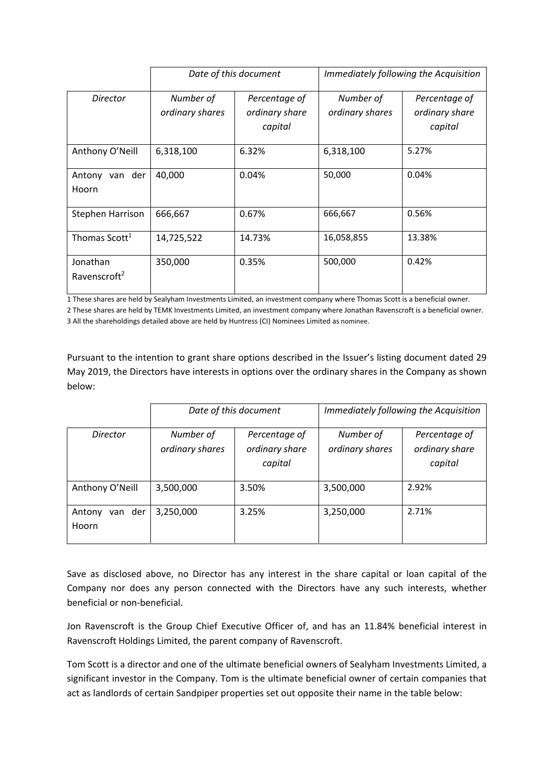|                                      |                              | Date of this document                      | Immediately following the Acquisition |                                            |  |  |
|--------------------------------------|------------------------------|--------------------------------------------|---------------------------------------|--------------------------------------------|--|--|
| Director                             | Number of<br>ordinary shares | Percentage of<br>ordinary share<br>capital | Number of<br>ordinary shares          | Percentage of<br>ordinary share<br>capital |  |  |
| Anthony O'Neill                      | 6,318,100                    | 6.32%                                      | 6,318,100                             | 5.27%                                      |  |  |
| Antony van der<br>Hoorn              | 40,000                       | 0.04%                                      | 50,000                                | 0.04%                                      |  |  |
| Stephen Harrison                     | 666,667                      | 0.67%                                      | 666,667                               | 0.56%                                      |  |  |
| Thomas Scott <sup>1</sup>            | 14,725,522                   | 14.73%                                     | 16,058,855                            | 13.38%                                     |  |  |
| Jonathan<br>Ravenscroft <sup>2</sup> | 350,000                      | 0.35%                                      | 500,000                               | 0.42%                                      |  |  |

1 These shares are held by Sealyham Investments Limited, an investment company where Thomas Scott is a beneficial owner.

2 These shares are held by TEMK Investments Limited, an investment company where Jonathan Ravenscroft is a beneficial owner. 3 All the shareholdings detailed above are held by Huntress (CI) Nominees Limited as nominee.

Pursuant to the intention to grant share options described in the Issuer's listing document dated 29 May 2019, the Directors have interests in options over the ordinary shares in the Company as shown below:

|                            |                              | Date of this document           | Immediately following the Acquisition |                                 |  |  |
|----------------------------|------------------------------|---------------------------------|---------------------------------------|---------------------------------|--|--|
| Director                   | Number of<br>ordinary shares | Percentage of<br>ordinary share | Number of<br>ordinary shares          | Percentage of<br>ordinary share |  |  |
|                            |                              | capital                         |                                       | capital                         |  |  |
| Anthony O'Neill            | 3,500,000                    | 3.50%                           | 3,500,000                             | 2.92%                           |  |  |
| van der<br>Antony<br>Hoorn | 3,250,000                    | 3.25%                           | 3,250,000                             | 2.71%                           |  |  |

Save as disclosed above, no Director has any interest in the share capital or loan capital of the Company nor does any person connected with the Directors have any such interests, whether beneficial or non‐beneficial.

Jon Ravenscroft is the Group Chief Executive Officer of, and has an 11.84% beneficial interest in Ravenscroft Holdings Limited, the parent company of Ravenscroft.

Tom Scott is a director and one of the ultimate beneficial owners of Sealyham Investments Limited, a significant investor in the Company. Tom is the ultimate beneficial owner of certain companies that act as landlords of certain Sandpiper properties set out opposite their name in the table below: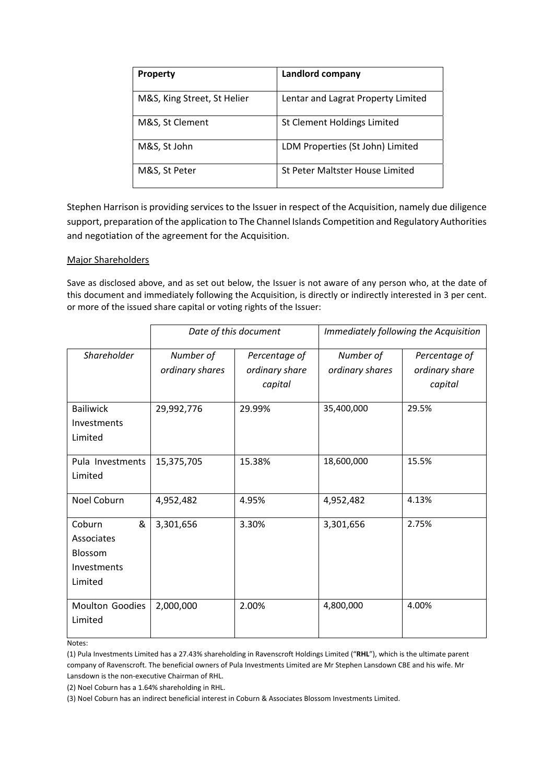| <b>Property</b>             | Landlord company                   |
|-----------------------------|------------------------------------|
| M&S, King Street, St Helier | Lentar and Lagrat Property Limited |
| M&S, St Clement             | St Clement Holdings Limited        |
| M&S, St John                | LDM Properties (St John) Limited   |
| M&S, St Peter               | St Peter Maltster House Limited    |

Stephen Harrison is providing services to the Issuer in respect of the Acquisition, namely due diligence support, preparation of the application to The Channel Islands Competition and Regulatory Authorities and negotiation of the agreement for the Acquisition.

# Major Shareholders

Save as disclosed above, and as set out below, the Issuer is not aware of any person who, at the date of this document and immediately following the Acquisition, is directly or indirectly interested in 3 per cent. or more of the issued share capital or voting rights of the Issuer:

|                  |                 | Date of this document | Immediately following the Acquisition |                |  |  |
|------------------|-----------------|-----------------------|---------------------------------------|----------------|--|--|
| Shareholder      | Number of       | Percentage of         | Number of                             | Percentage of  |  |  |
|                  | ordinary shares | ordinary share        | ordinary shares                       | ordinary share |  |  |
|                  |                 | capital               |                                       | capital        |  |  |
| <b>Bailiwick</b> | 29,992,776      | 29.99%                | 35,400,000                            | 29.5%          |  |  |
| Investments      |                 |                       |                                       |                |  |  |
| Limited          |                 |                       |                                       |                |  |  |
| Pula Investments | 15,375,705      | 15.38%                | 18,600,000                            | 15.5%          |  |  |
| Limited          |                 |                       |                                       |                |  |  |
| Noel Coburn      | 4,952,482       | 4.95%                 | 4,952,482                             | 4.13%          |  |  |
| &<br>Coburn      | 3,301,656       | 3.30%                 | 3,301,656                             | 2.75%          |  |  |
| Associates       |                 |                       |                                       |                |  |  |
| Blossom          |                 |                       |                                       |                |  |  |
| Investments      |                 |                       |                                       |                |  |  |
| Limited          |                 |                       |                                       |                |  |  |
| Moulton Goodies  | 2,000,000       | 2.00%                 | 4,800,000                             | 4.00%          |  |  |
| Limited          |                 |                       |                                       |                |  |  |

Notes:

(1) Pula Investments Limited has a 27.43% shareholding in Ravenscroft Holdings Limited ("**RHL**"), which is the ultimate parent company of Ravenscroft. The beneficial owners of Pula Investments Limited are Mr Stephen Lansdown CBE and his wife. Mr Lansdown is the non‐executive Chairman of RHL.

(2) Noel Coburn has a 1.64% shareholding in RHL.

(3) Noel Coburn has an indirect beneficial interest in Coburn & Associates Blossom Investments Limited.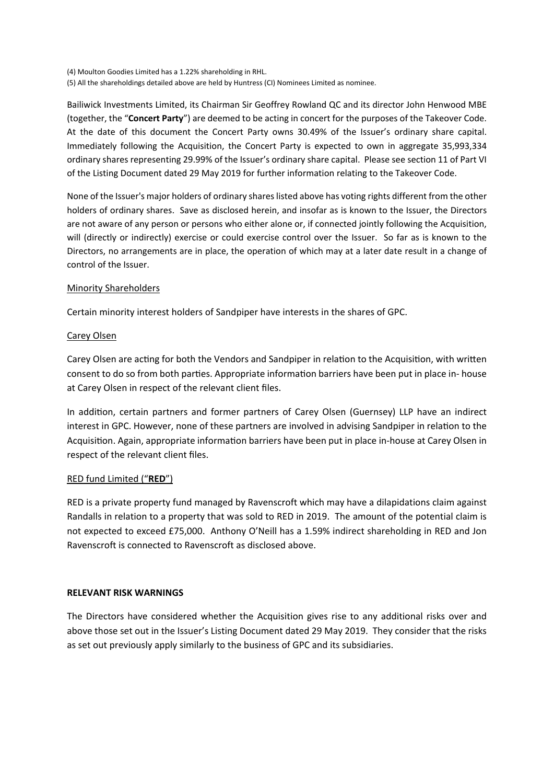(4) Moulton Goodies Limited has a 1.22% shareholding in RHL. (5) All the shareholdings detailed above are held by Huntress (CI) Nominees Limited as nominee.

Bailiwick Investments Limited, its Chairman Sir Geoffrey Rowland QC and its director John Henwood MBE (together, the "**Concert Party**") are deemed to be acting in concert for the purposes of the Takeover Code. At the date of this document the Concert Party owns 30.49% of the Issuer's ordinary share capital. Immediately following the Acquisition, the Concert Party is expected to own in aggregate 35,993,334 ordinary shares representing 29.99% of the Issuer's ordinary share capital. Please see section 11 of Part VI of the Listing Document dated 29 May 2019 for further information relating to the Takeover Code.

None of the Issuer's major holders of ordinary shares listed above has voting rights different from the other holders of ordinary shares. Save as disclosed herein, and insofar as is known to the Issuer, the Directors are not aware of any person or persons who either alone or, if connected jointly following the Acquisition, will (directly or indirectly) exercise or could exercise control over the Issuer. So far as is known to the Directors, no arrangements are in place, the operation of which may at a later date result in a change of control of the Issuer.

# Minority Shareholders

Certain minority interest holders of Sandpiper have interests in the shares of GPC.

# Carey Olsen

Carey Olsen are acting for both the Vendors and Sandpiper in relation to the Acquisition, with written consent to do so from both parties. Appropriate information barriers have been put in place in- house at Carey Olsen in respect of the relevant client files.

In addition, certain partners and former partners of Carey Olsen (Guernsey) LLP have an indirect interest in GPC. However, none of these partners are involved in advising Sandpiper in relation to the Acquisition. Again, appropriate information barriers have been put in place in-house at Carey Olsen in respect of the relevant client files.

# RED fund Limited ("**RED**")

RED is a private property fund managed by Ravenscroft which may have a dilapidations claim against Randalls in relation to a property that was sold to RED in 2019. The amount of the potential claim is not expected to exceed £75,000. Anthony O'Neill has a 1.59% indirect shareholding in RED and Jon Ravenscroft is connected to Ravenscroft as disclosed above.

#### **RELEVANT RISK WARNINGS**

The Directors have considered whether the Acquisition gives rise to any additional risks over and above those set out in the Issuer's Listing Document dated 29 May 2019. They consider that the risks as set out previously apply similarly to the business of GPC and its subsidiaries.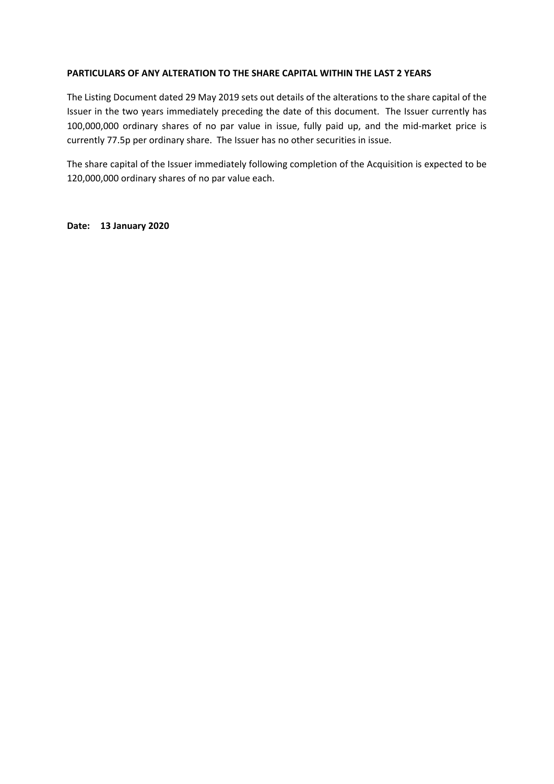#### **PARTICULARS OF ANY ALTERATION TO THE SHARE CAPITAL WITHIN THE LAST 2 YEARS**

The Listing Document dated 29 May 2019 sets out details of the alterations to the share capital of the Issuer in the two years immediately preceding the date of this document. The Issuer currently has 100,000,000 ordinary shares of no par value in issue, fully paid up, and the mid‐market price is currently 77.5p per ordinary share. The Issuer has no other securities in issue.

The share capital of the Issuer immediately following completion of the Acquisition is expected to be 120,000,000 ordinary shares of no par value each.

**Date: 13 January 2020**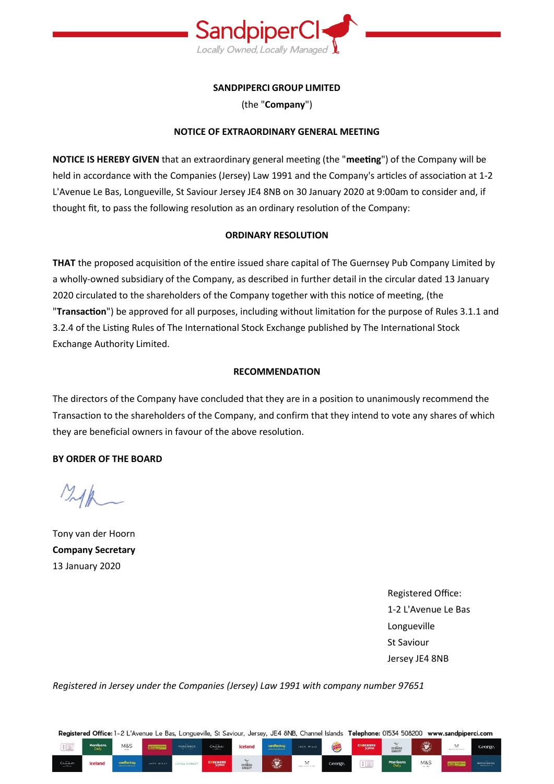

# **SANDPIPERCI GROUP LIMITED**

(the "**Company**")

# **NOTICE OF EXTRAORDINARY GENERAL MEETING**

**NOTICE IS HEREBY GIVEN** that an extraordinary general meeting (the "**meeting**") of the Company will be held in accordance with the Companies (Jersey) Law 1991 and the Company's articles of association at 1-2 L'Avenue Le Bas, Longueville, St Saviour Jersey JE4 8NB on 30 January 2020 at 9:00am to consider and, if thought fit, to pass the following resolution as an ordinary resolution of the Company:

# **ORDINARY RESOLUTION**

**THAT** the proposed acquisition of the entire issued share capital of The Guernsey Pub Company Limited by a wholly-owned subsidiary of the Company, as described in further detail in the circular dated 13 January 2020 circulated to the shareholders of the Company together with this notice of meeting, (the "**Transaction**") be approved for all purposes, including without limitation for the purpose of Rules 3.1.1 and 3.2.4 of the Listing Rules of The International Stock Exchange published by The International Stock Exchange Authority Limited.

# **RECOMMENDATION**

The directors of the Company have concluded that they are in a position to unanimously recommend the Transaction to the shareholders of the Company, and confirm that they intend to vote any shares of which they are beneficial owners in favour of the above resolution.

# **BY ORDER OF THE BOARD**

Tony van der Hoorn **Company Secretary** 13 January 2020

Registered Office: 1-2 L'Avenue Le Bas Longueville St Saviour Jersey JE4 8NB

*Registered in Jersey under the Companies (Jersey) Law 1991 with company number 97651* 

Registered Office: 1-2 L'Avenue Le Bas, Longueville, St Saviour, Jersey, JE4 8NB, Channel Islands Telephone: 01534 508200 www.sandpiperci.com

| $\sqrt[\beta]{\text{Q}}$             | <b>Morrisons</b><br>Daily | M&S                                            |            | <b>MOSS BROS</b> | Chocolat.<br><b>CONTRACTOR</b> | <b>Iceland</b>                     | cardfactery<br>and the property of the property | <b>JACK WILLS</b>                   | KIN<br>$\tilde{\phantom{a}}$ | CNECKERS            | $\sim$<br>CORNISH<br>BAKERY | $2^{11}$<br>$c_{\rm max}$ | $\mathbb{X}$ | George.   |
|--------------------------------------|---------------------------|------------------------------------------------|------------|------------------|--------------------------------|------------------------------------|-------------------------------------------------|-------------------------------------|------------------------------|---------------------|-----------------------------|---------------------------|--------------|-----------|
| $\label{eq:concl} \text{Conjecture}$ | <b>Iceland</b>            | cardiactery<br><b>Companies for AN Extents</b> | JACK WILLS | LAURA ASHLEY     | $C\times$ ECKERS               | $\sim$<br><b>CORNISH</b><br>BAKERY | $rac{1}{2}$<br>$\sim$                           | ×<br><b>STERN CONTRACT CONTRACT</b> | George.                      | $\sqrt{2}$<br>i (91 | <b>Morrisons</b><br>Daily.  | <b>M&amp;S</b><br>the me. |              | MOSS BROS |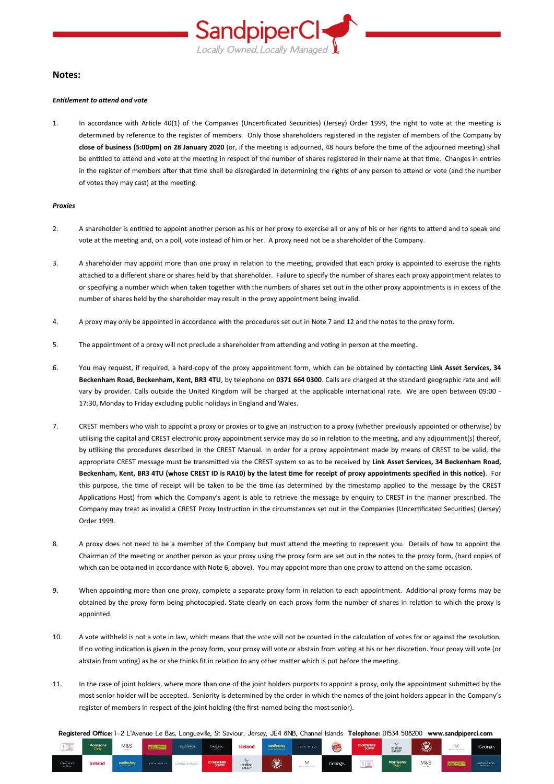

#### **Notes:**

#### *Entitlement to attend and vote*

1. In accordance with Article 40(1) of the Companies (Uncertificated Securities) (Jersey) Order 1999, the right to vote at the meeting is determined by reference to the register of members. Only those shareholders registered in the register of members of the Company by **close of business (5:00pm) on 28 January 2020** (or, if the meeting is adjourned, 48 hours before the time of the adjourned meeting) shall be entitled to attend and vote at the meeting in respect of the number of shares registered in their name at that time. Changes in entries in the register of members after that time shall be disregarded in determining the rights of any person to attend or vote (and the number of votes they may cast) at the meeting.

#### *Proxies*

- 2. A shareholder is entitled to appoint another person as his or her proxy to exercise all or any of his or her rights to attend and to speak and vote at the meeting and, on a poll, vote instead of him or her. A proxy need not be a shareholder of the Company.
- 3. A shareholder may appoint more than one proxy in relation to the meeting, provided that each proxy is appointed to exercise the rights attached to a different share or shares held by that shareholder. Failure to specify the number of shares each proxy appointment relates to or specifying a number which when taken together with the numbers of shares set out in the other proxy appointments is in excess of the number of shares held by the shareholder may result in the proxy appointment being invalid.
- 4. A proxy may only be appointed in accordance with the procedures set out in Note 7 and 12 and the notes to the proxy form.
- 5. The appointment of a proxy will not preclude a shareholder from attending and voting in person at the meeting.
- 6. You may request, if required, a hard-copy of the proxy appointment form, which can be obtained by contacting **Link Asset Services, 34 Beckenham Road, Beckenham, Kent, BR3 4TU**, by telephone on **0371 664 0300**. Calls are charged at the standard geographic rate and will vary by provider. Calls outside the United Kingdom will be charged at the applicable international rate. We are open between 09:00 -17:30, Monday to Friday excluding public holidays in England and Wales.
- 7. CREST members who wish to appoint a proxy or proxies or to give an instruction to a proxy (whether previously appointed or otherwise) by utilising the capital and CREST electronic proxy appointment service may do so in relation to the meeting, and any adjournment(s) thereof, by utilising the procedures described in the CREST Manual. In order for a proxy appointment made by means of CREST to be valid, the appropriate CREST message must be transmitted via the CREST system so as to be received by **Link Asset Services, 34 Beckenham Road, Beckenham, Kent, BR3 4TU (whose CREST ID is RA10) by the latest time for receipt of proxy appointments specified in this notice)**. For this purpose, the time of receipt will be taken to be the time (as determined by the timestamp applied to the message by the CREST Applications Host) from which the Company's agent is able to retrieve the message by enquiry to CREST in the manner prescribed. The Company may treat as invalid a CREST Proxy Instruction in the circumstances set out in the Companies (Uncertificated Securities) (Jersey) Order 1999.
- 8. A proxy does not need to be a member of the Company but must attend the meeting to represent you. Details of how to appoint the Chairman of the meeting or another person as your proxy using the proxy form are set out in the notes to the proxy form, (hard copies of which can be obtained in accordance with Note 6, above). You may appoint more than one proxy to attend on the same occasion.
- 9. When appointing more than one proxy, complete a separate proxy form in relation to each appointment. Additional proxy forms may be obtained by the proxy form being photocopied. State clearly on each proxy form the number of shares in relation to which the proxy is appointed.
- 10. A vote withheld is not a vote in law, which means that the vote will not be counted in the calculation of votes for or against the resolution. If no voting indication is given in the proxy form, your proxy will vote or abstain from voting at his or her discretion. Your proxy will vote (or abstain from voting) as he or she thinks fit in relation to any other matter which is put before the meeting.
- 11. In the case of joint holders, where more than one of the joint holders purports to appoint a proxy, only the appointment submitted by the most senior holder will be accepted. Seniority is determined by the order in which the names of the joint holders appear in the Company's register of members in respect of the joint holding (the first-named being the most senior).

Registered Office: 1-2 L'Avenue Le Bas, Longueville, St Saviour, Jersey, JE4 8NB, Channel Islands Telephone: 01534 508200 www.sandpiperci.com